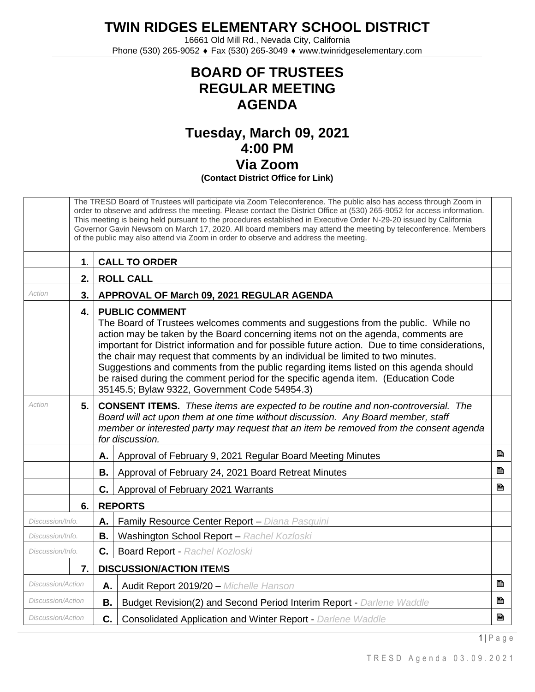**TWIN RIDGES ELEMENTARY SCHOOL DISTRICT**

16661 Old Mill Rd., Nevada City, California Phone (530) 265-9052 ♦ Fax (530) 265-3049 ♦ www.twinridgeselementary.com

## **BOARD OF TRUSTEES REGULAR MEETING AGENDA**

## **Tuesday, March 09, 2021 4:00 PM Via Zoom (Contact District Office for Link)**

|                          | The TRESD Board of Trustees will participate via Zoom Teleconference. The public also has access through Zoom in<br>order to observe and address the meeting. Please contact the District Office at (530) 265-9052 for access information.<br>This meeting is being held pursuant to the procedures established in Executive Order N-29-20 issued by California<br>Governor Gavin Newsom on March 17, 2020. All board members may attend the meeting by teleconference. Members<br>of the public may also attend via Zoom in order to observe and address the meeting. |                                                                                                                                                                                                                                                                                                                                                                                                                                                                                                                                                                                                                     |                                                                      |   |  |
|--------------------------|------------------------------------------------------------------------------------------------------------------------------------------------------------------------------------------------------------------------------------------------------------------------------------------------------------------------------------------------------------------------------------------------------------------------------------------------------------------------------------------------------------------------------------------------------------------------|---------------------------------------------------------------------------------------------------------------------------------------------------------------------------------------------------------------------------------------------------------------------------------------------------------------------------------------------------------------------------------------------------------------------------------------------------------------------------------------------------------------------------------------------------------------------------------------------------------------------|----------------------------------------------------------------------|---|--|
|                          | $\mathbf 1$ .                                                                                                                                                                                                                                                                                                                                                                                                                                                                                                                                                          |                                                                                                                                                                                                                                                                                                                                                                                                                                                                                                                                                                                                                     | <b>CALL TO ORDER</b>                                                 |   |  |
|                          | 2.                                                                                                                                                                                                                                                                                                                                                                                                                                                                                                                                                                     |                                                                                                                                                                                                                                                                                                                                                                                                                                                                                                                                                                                                                     | <b>ROLL CALL</b>                                                     |   |  |
| Action                   | 3.                                                                                                                                                                                                                                                                                                                                                                                                                                                                                                                                                                     |                                                                                                                                                                                                                                                                                                                                                                                                                                                                                                                                                                                                                     | APPROVAL OF March 09, 2021 REGULAR AGENDA                            |   |  |
|                          | 4.                                                                                                                                                                                                                                                                                                                                                                                                                                                                                                                                                                     | <b>PUBLIC COMMENT</b><br>The Board of Trustees welcomes comments and suggestions from the public. While no<br>action may be taken by the Board concerning items not on the agenda, comments are<br>important for District information and for possible future action. Due to time considerations,<br>the chair may request that comments by an individual be limited to two minutes.<br>Suggestions and comments from the public regarding items listed on this agenda should<br>be raised during the comment period for the specific agenda item. (Education Code<br>35145.5; Bylaw 9322, Government Code 54954.3) |                                                                      |   |  |
| Action                   | 5.                                                                                                                                                                                                                                                                                                                                                                                                                                                                                                                                                                     | <b>CONSENT ITEMS.</b> These items are expected to be routine and non-controversial. The<br>Board will act upon them at one time without discussion. Any Board member, staff<br>member or interested party may request that an item be removed from the consent agenda<br>for discussion.                                                                                                                                                                                                                                                                                                                            |                                                                      |   |  |
|                          |                                                                                                                                                                                                                                                                                                                                                                                                                                                                                                                                                                        | Α.                                                                                                                                                                                                                                                                                                                                                                                                                                                                                                                                                                                                                  | Approval of February 9, 2021 Regular Board Meeting Minutes           | 昏 |  |
|                          |                                                                                                                                                                                                                                                                                                                                                                                                                                                                                                                                                                        | В.                                                                                                                                                                                                                                                                                                                                                                                                                                                                                                                                                                                                                  | Approval of February 24, 2021 Board Retreat Minutes                  | P |  |
|                          |                                                                                                                                                                                                                                                                                                                                                                                                                                                                                                                                                                        | C.                                                                                                                                                                                                                                                                                                                                                                                                                                                                                                                                                                                                                  | Approval of February 2021 Warrants                                   | B |  |
|                          | 6.                                                                                                                                                                                                                                                                                                                                                                                                                                                                                                                                                                     | <b>REPORTS</b>                                                                                                                                                                                                                                                                                                                                                                                                                                                                                                                                                                                                      |                                                                      |   |  |
| Discussion/Info.         |                                                                                                                                                                                                                                                                                                                                                                                                                                                                                                                                                                        | Α.                                                                                                                                                                                                                                                                                                                                                                                                                                                                                                                                                                                                                  | Family Resource Center Report - Diana Pasquini                       |   |  |
| Discussion/Info.         |                                                                                                                                                                                                                                                                                                                                                                                                                                                                                                                                                                        | В.                                                                                                                                                                                                                                                                                                                                                                                                                                                                                                                                                                                                                  | Washington School Report - Rachel Kozloski                           |   |  |
| Discussion/Info.         |                                                                                                                                                                                                                                                                                                                                                                                                                                                                                                                                                                        | C.                                                                                                                                                                                                                                                                                                                                                                                                                                                                                                                                                                                                                  | <b>Board Report - Rachel Kozloski</b>                                |   |  |
|                          | <b>DISCUSSION/ACTION ITEMS</b><br>7.                                                                                                                                                                                                                                                                                                                                                                                                                                                                                                                                   |                                                                                                                                                                                                                                                                                                                                                                                                                                                                                                                                                                                                                     |                                                                      |   |  |
| Discussion/Action        |                                                                                                                                                                                                                                                                                                                                                                                                                                                                                                                                                                        | А.                                                                                                                                                                                                                                                                                                                                                                                                                                                                                                                                                                                                                  | Audit Report 2019/20 - Michelle Hanson                               | B |  |
| Discussion/Action        |                                                                                                                                                                                                                                                                                                                                                                                                                                                                                                                                                                        | <b>B.</b>                                                                                                                                                                                                                                                                                                                                                                                                                                                                                                                                                                                                           | Budget Revision(2) and Second Period Interim Report - Darlene Waddle | B |  |
| <b>Discussion/Action</b> |                                                                                                                                                                                                                                                                                                                                                                                                                                                                                                                                                                        | C.                                                                                                                                                                                                                                                                                                                                                                                                                                                                                                                                                                                                                  | <b>Consolidated Application and Winter Report - Darlene Waddle</b>   | B |  |

1 | P a g e